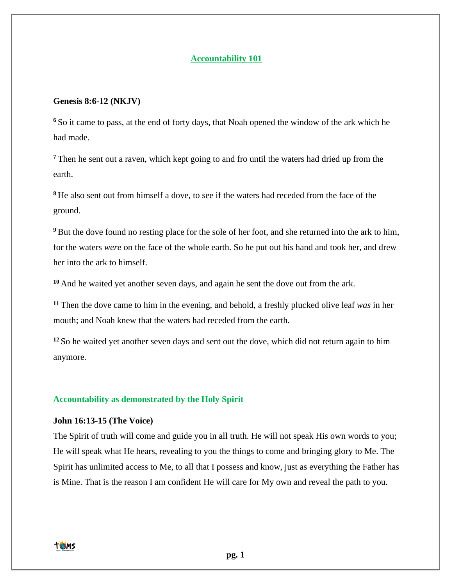### **Accountability 101**

### **Genesis 8:6-12 (NKJV)**

**<sup>6</sup>** So it came to pass, at the end of forty days, that Noah opened the window of the ark which he had made.

**<sup>7</sup>** Then he sent out a raven, which kept going to and fro until the waters had dried up from the earth.

**<sup>8</sup>** He also sent out from himself a dove, to see if the waters had receded from the face of the ground.

**<sup>9</sup>** But the dove found no resting place for the sole of her foot, and she returned into the ark to him, for the waters *were* on the face of the whole earth. So he put out his hand and took her, and drew her into the ark to himself.

**<sup>10</sup>** And he waited yet another seven days, and again he sent the dove out from the ark.

**<sup>11</sup>** Then the dove came to him in the evening, and behold, a freshly plucked olive leaf *was* in her mouth; and Noah knew that the waters had receded from the earth.

**<sup>12</sup>** So he waited yet another seven days and sent out the dove, which did not return again to him anymore.

# **Accountability as demonstrated by the Holy Spirit**

#### **John 16:13-15 (The Voice)**

The Spirit of truth will come and guide you in all truth. He will not speak His own words to you; He will speak what He hears, revealing to you the things to come and bringing glory to Me. The Spirit has unlimited access to Me, to all that I possess and know, just as everything the Father has is Mine. That is the reason I am confident He will care for My own and reveal the path to you.

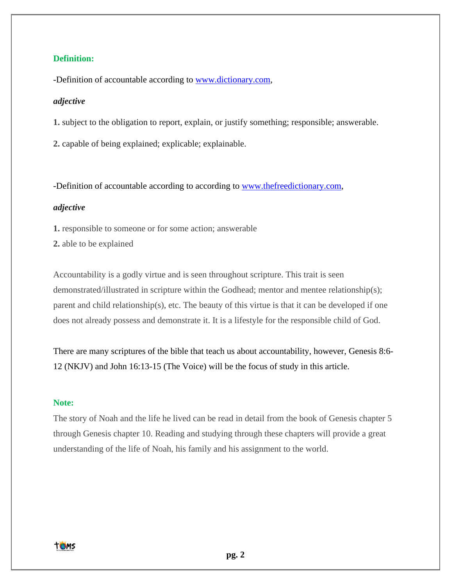# **Definition:**

-Definition of accountable according to [www.dictionary.com,](http://www.dictionary.com/)

### *adjective*

**1.** subject to the obligation to report, explain, or justify something; responsible; answerable.

**2.** capable of being explained; explicable; explainable.

-Definition of accountable according to according to [www.thefreedictionary.com,](http://www.thefreedictionary.com/)

### *adjective*

**1.** responsible to someone or for some action; answerable

**2.** able to be explained

Accountability is a godly virtue and is seen throughout scripture. This trait is seen demonstrated/illustrated in scripture within the Godhead; mentor and mentee relationship(s); parent and child relationship(s), etc. The beauty of this virtue is that it can be developed if one does not already possess and demonstrate it. It is a lifestyle for the responsible child of God.

There are many scriptures of the bible that teach us about accountability, however, Genesis 8:6- 12 (NKJV) and John 16:13-15 (The Voice) will be the focus of study in this article.

### **Note:**

The story of Noah and the life he lived can be read in detail from the book of Genesis chapter 5 through Genesis chapter 10. Reading and studying through these chapters will provide a great understanding of the life of Noah, his family and his assignment to the world.

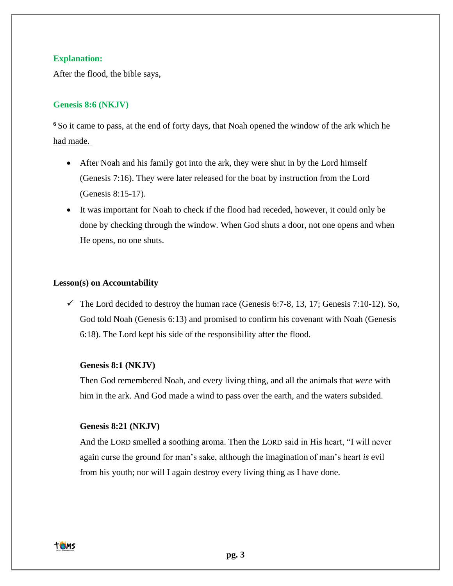### **Explanation:**

After the flood, the bible says,

# **Genesis 8:6 (NKJV)**

<sup>6</sup> So it came to pass, at the end of forty days, that <u>Noah opened the window of the ark</u> which he had made.

- After Noah and his family got into the ark, they were shut in by the Lord himself (Genesis 7:16). They were later released for the boat by instruction from the Lord (Genesis 8:15-17).
- It was important for Noah to check if the flood had receded, however, it could only be done by checking through the window. When God shuts a door, not one opens and when He opens, no one shuts.

### **Lesson(s) on Accountability**

 $\checkmark$  The Lord decided to destroy the human race (Genesis 6:7-8, 13, 17; Genesis 7:10-12). So, God told Noah (Genesis 6:13) and promised to confirm his covenant with Noah (Genesis 6:18). The Lord kept his side of the responsibility after the flood.

#### **Genesis 8:1 (NKJV)**

Then God remembered Noah, and every living thing, and all the animals that *were* with him in the ark. And God made a wind to pass over the earth, and the waters subsided.

#### **Genesis 8:21 (NKJV)**

And the LORD smelled a soothing aroma. Then the LORD said in His heart, "I will never again curse the ground for man's sake, although the imagination of man's heart *is* evil from his youth; nor will I again destroy every living thing as I have done.

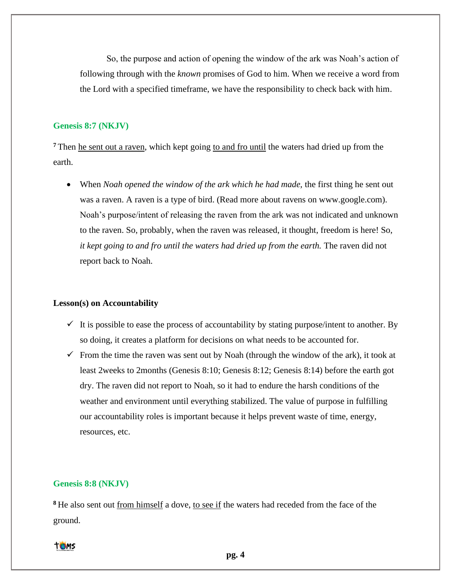So, the purpose and action of opening the window of the ark was Noah's action of following through with the *known* promises of God to him. When we receive a word from the Lord with a specified timeframe, we have the responsibility to check back with him.

#### **Genesis 8:7 (NKJV)**

**<sup>7</sup>** Then he sent out a raven, which kept going to and fro until the waters had dried up from the earth.

• When *Noah opened the window of the ark which he had made*, the first thing he sent out was a raven. A raven is a type of bird. (Read more about ravens on www.google.com). Noah's purpose/intent of releasing the raven from the ark was not indicated and unknown to the raven. So, probably, when the raven was released, it thought, freedom is here! So, *it kept going to and fro until the waters had dried up from the earth.* The raven did not report back to Noah.

#### **Lesson(s) on Accountability**

- $\checkmark$  It is possible to ease the process of accountability by stating purpose/intent to another. By so doing, it creates a platform for decisions on what needs to be accounted for.
- $\checkmark$  From the time the raven was sent out by Noah (through the window of the ark), it took at least 2weeks to 2months (Genesis 8:10; Genesis 8:12; Genesis 8:14) before the earth got dry. The raven did not report to Noah, so it had to endure the harsh conditions of the weather and environment until everything stabilized. The value of purpose in fulfilling our accountability roles is important because it helps prevent waste of time, energy, resources, etc.

### **Genesis 8:8 (NKJV)**

**<sup>8</sup>** He also sent out from himself a dove, to see if the waters had receded from the face of the ground.



**pg. 4**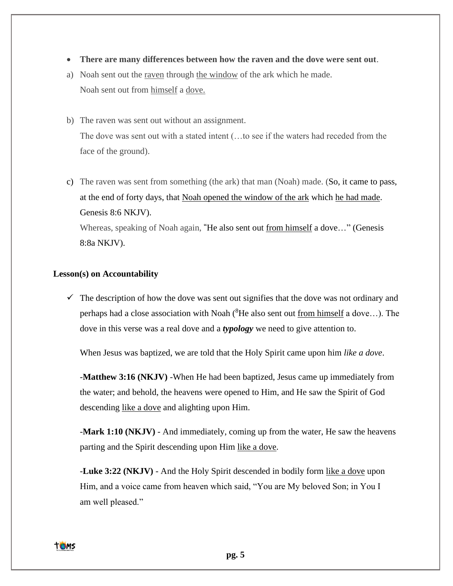- **There are many differences between how the raven and the dove were sent out**.
- a) Noah sent out the raven through the window of the ark which he made. Noah sent out from himself a dove.
- b) The raven was sent out without an assignment. The dove was sent out with a stated intent (…to see if the waters had receded from the face of the ground).
- c) The raven was sent from something (the ark) that man (Noah) made. (So, it came to pass, at the end of forty days, that Noah opened the window of the ark which he had made. Genesis 8:6 NKJV). Whereas, speaking of Noah again, **"**He also sent out from himself a dove…" (Genesis 8:8a NKJV).

### **Lesson(s) on Accountability**

 $\checkmark$  The description of how the dove was sent out signifies that the dove was not ordinary and perhaps had a close association with Noah ( ${}^8$ He also sent out <u>from himself</u> a dove...). The dove in this verse was a real dove and a *typology* we need to give attention to.

When Jesus was baptized, we are told that the Holy Spirit came upon him *like a dove*.

-**Matthew 3:16 (NKJV)** -When He had been baptized, Jesus came up immediately from the water; and behold, the heavens were opened to Him, and He saw the Spirit of God descending like a dove and alighting upon Him.

-**Mark 1:10 (NKJV)** - And immediately, coming up from the water, He saw the heavens parting and the Spirit descending upon Him like a dove.

-**Luke 3:22 (NKJV)** - And the Holy Spirit descended in bodily form like a dove upon Him, and a voice came from heaven which said, "You are My beloved Son; in You I am well pleased."

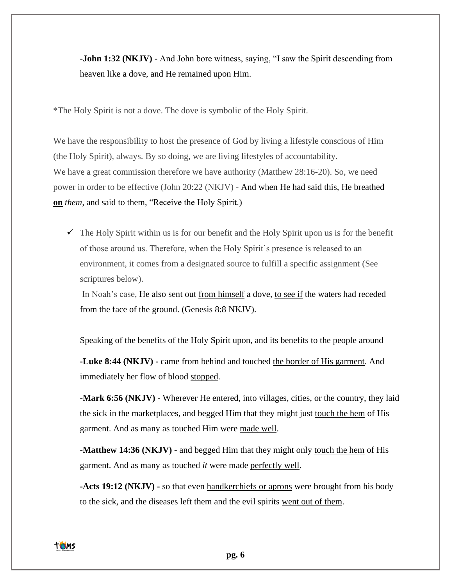-**John 1:32 (NKJV)** - And John bore witness, saying, "I saw the Spirit descending from heaven like a dove, and He remained upon Him.

\*The Holy Spirit is not a dove. The dove is symbolic of the Holy Spirit.

We have the responsibility to host the presence of God by living a lifestyle conscious of Him (the Holy Spirit), always. By so doing, we are living lifestyles of accountability. We have a great commission therefore we have authority (Matthew 28:16-20). So, we need power in order to be effective (John 20:22 (NKJV) - And when He had said this, He breathed **on** *them,* and said to them, "Receive the Holy Spirit.)

 $\checkmark$  The Holy Spirit within us is for our benefit and the Holy Spirit upon us is for the benefit of those around us. Therefore, when the Holy Spirit's presence is released to an environment, it comes from a designated source to fulfill a specific assignment (See scriptures below).

In Noah's case, He also sent out from himself a dove, to see if the waters had receded from the face of the ground. (Genesis 8:8 NKJV).

Speaking of the benefits of the Holy Spirit upon, and its benefits to the people around

**-Luke 8:44 (NKJV) -** came from behind and touched the border of His garment. And immediately her flow of blood stopped.

**-Mark 6:56 (NKJV) -** Wherever He entered, into villages, cities, or the country, they laid the sick in the marketplaces, and begged Him that they might just touch the hem of His garment. And as many as touched Him were made well.

**-Matthew 14:36 (NKJV) -** and begged Him that they might only touch the hem of His garment. And as many as touched *it* were made perfectly well.

**-Acts 19:12 (NKJV) -** so that even handkerchiefs or aprons were brought from his body to the sick, and the diseases left them and the evil spirits went out of them.

**TOMS**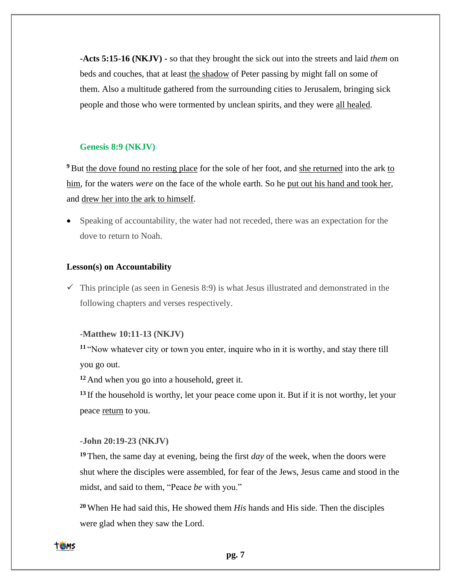**-Acts 5:15-16 (NKJV) -** so that they brought the sick out into the streets and laid *them* on beds and couches, that at least the shadow of Peter passing by might fall on some of them. Also a multitude gathered from the surrounding cities to Jerusalem, bringing sick people and those who were tormented by unclean spirits, and they were all healed.

### **Genesis 8:9 (NKJV)**

<sup>9</sup> But the dove found no resting place for the sole of her foot, and she returned into the ark to him, for the waters *were* on the face of the whole earth. So he put out his hand and took her, and drew her into the ark to himself.

• Speaking of accountability, the water had not receded, there was an expectation for the dove to return to Noah.

### **Lesson(s) on Accountability**

 $\checkmark$  This principle (as seen in Genesis 8:9) is what Jesus illustrated and demonstrated in the following chapters and verses respectively.

#### **-Matthew 10:11-13 (NKJV)**

**<sup>11</sup>** "Now whatever city or town you enter, inquire who in it is worthy, and stay there till you go out.

**<sup>12</sup>** And when you go into a household, greet it.

**<sup>13</sup>** If the household is worthy, let your peace come upon it. But if it is not worthy, let your peace return to you.

#### **-John 20:19-23 (NKJV)**

**<sup>19</sup>** Then, the same day at evening, being the first *day* of the week, when the doors were shut where the disciples were assembled, for fear of the Jews, Jesus came and stood in the midst, and said to them, "Peace *be* with you."

**<sup>20</sup>** When He had said this, He showed them *His* hands and His side. Then the disciples were glad when they saw the Lord.

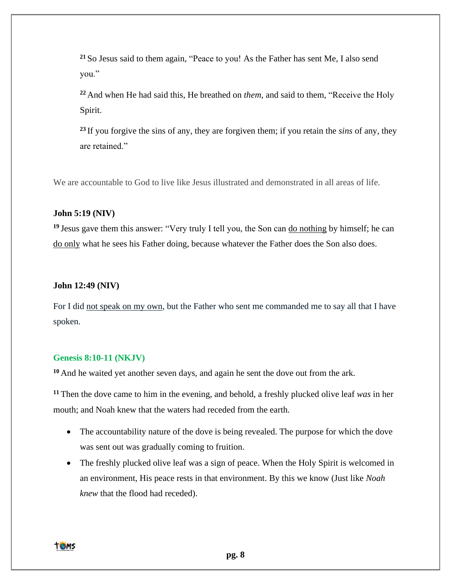**<sup>21</sup>** So Jesus said to them again, "Peace to you! As the Father has sent Me, I also send you."

**<sup>22</sup>** And when He had said this, He breathed on *them,* and said to them, "Receive the Holy Spirit.

**<sup>23</sup>** If you forgive the sins of any, they are forgiven them; if you retain the *sins* of any, they are retained."

We are accountable to God to live like Jesus illustrated and demonstrated in all areas of life.

#### **John 5:19 (NIV)**

**<sup>19</sup>** Jesus gave them this answer: "Very truly I tell you, the Son can do nothing by himself; he can do only what he sees his Father doing, because whatever the Father does the Son also does.

#### **John 12:49 (NIV)**

For I did not speak on my own, but the Father who sent me commanded me to say all that I have spoken.

### **Genesis 8:10-11 (NKJV)**

**<sup>10</sup>** And he waited yet another seven days, and again he sent the dove out from the ark.

**<sup>11</sup>** Then the dove came to him in the evening, and behold, a freshly plucked olive leaf *was* in her mouth; and Noah knew that the waters had receded from the earth.

- The accountability nature of the dove is being revealed. The purpose for which the dove was sent out was gradually coming to fruition.
- The freshly plucked olive leaf was a sign of peace. When the Holy Spirit is welcomed in an environment, His peace rests in that environment. By this we know (Just like *Noah knew* that the flood had receded).

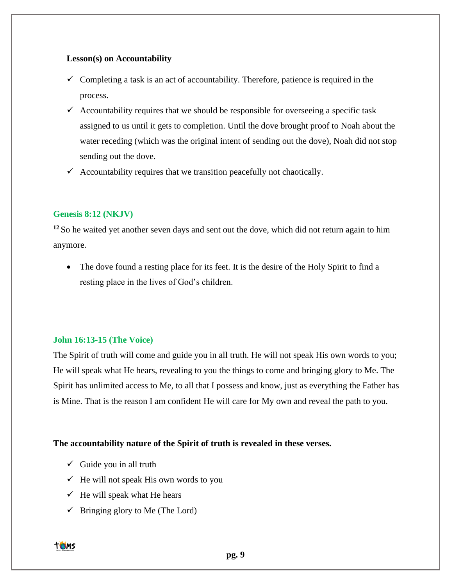### **Lesson(s) on Accountability**

- $\checkmark$  Completing a task is an act of accountability. Therefore, patience is required in the process.
- $\checkmark$  Accountability requires that we should be responsible for overseeing a specific task assigned to us until it gets to completion. Until the dove brought proof to Noah about the water receding (which was the original intent of sending out the dove), Noah did not stop sending out the dove.
- $\checkmark$  Accountability requires that we transition peacefully not chaotically.

# **Genesis 8:12 (NKJV)**

**<sup>12</sup>** So he waited yet another seven days and sent out the dove, which did not return again to him anymore.

• The dove found a resting place for its feet. It is the desire of the Holy Spirit to find a resting place in the lives of God's children.

# **John 16:13-15 (The Voice)**

The Spirit of truth will come and guide you in all truth. He will not speak His own words to you; He will speak what He hears, revealing to you the things to come and bringing glory to Me. The Spirit has unlimited access to Me, to all that I possess and know, just as everything the Father has is Mine. That is the reason I am confident He will care for My own and reveal the path to you.

# **The accountability nature of the Spirit of truth is revealed in these verses.**

- $\checkmark$  Guide you in all truth
- $\checkmark$  He will not speak His own words to you
- $\checkmark$  He will speak what He hears
- $\checkmark$  Bringing glory to Me (The Lord)